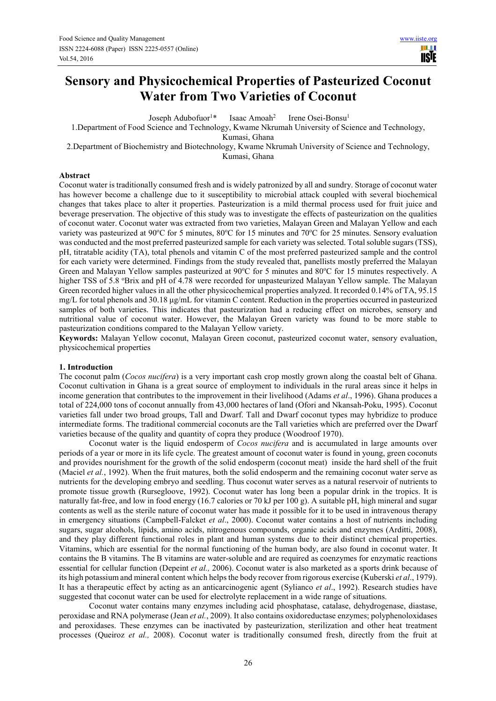# **Sensory and Physicochemical Properties of Pasteurized Coconut Water from Two Varieties of Coconut**

Joseph Adubofuor<sup>1\*</sup> Isaac Amoah<sup>2</sup> Irene Osei-Bonsu<sup>1</sup>

1.Department of Food Science and Technology, Kwame Nkrumah University of Science and Technology,

Kumasi, Ghana

2.Department of Biochemistry and Biotechnology, Kwame Nkrumah University of Science and Technology,

Kumasi, Ghana

#### **Abstract**

Coconut water is traditionally consumed fresh and is widely patronized by all and sundry. Storage of coconut water has however become a challenge due to it susceptibility to microbial attack coupled with several biochemical changes that takes place to alter it properties. Pasteurization is a mild thermal process used for fruit juice and beverage preservation. The objective of this study was to investigate the effects of pasteurization on the qualities of coconut water. Coconut water was extracted from two varieties, Malayan Green and Malayan Yellow and each variety was pasteurized at 90°C for 5 minutes, 80°C for 15 minutes and 70°C for 25 minutes. Sensory evaluation was conducted and the most preferred pasteurized sample for each variety was selected. Total soluble sugars (TSS), pH, titratable acidity (TA), total phenols and vitamin C of the most preferred pasteurized sample and the control for each variety were determined. Findings from the study revealed that, panellists mostly preferred the Malayan Green and Malayan Yellow samples pasteurized at 90 $\degree$ C for 5 minutes and 80 $\degree$ C for 15 minutes respectively. A higher TSS of 5.8 °Brix and pH of 4.78 were recorded for unpasteurized Malayan Yellow sample. The Malayan Green recorded higher values in all the other physicochemical properties analyzed. It recorded 0.14% of TA, 95.15 mg/L for total phenols and 30.18  $\mu$ g/mL for vitamin C content. Reduction in the properties occurred in pasteurized samples of both varieties. This indicates that pasteurization had a reducing effect on microbes, sensory and nutritional value of coconut water. However, the Malayan Green variety was found to be more stable to pasteurization conditions compared to the Malayan Yellow variety.

**Keywords:** Malayan Yellow coconut, Malayan Green coconut, pasteurized coconut water, sensory evaluation, physicochemical properties

# **1. Introduction**

The coconut palm (*Cocos nucifera*) is a very important cash crop mostly grown along the coastal belt of Ghana. Coconut cultivation in Ghana is a great source of employment to individuals in the rural areas since it helps in income generation that contributes to the improvement in their livelihood (Adams *et al*., 1996). Ghana produces a total of 224,000 tons of coconut annually from 43,000 hectares of land (Ofori and Nkansah-Poku, 1995). Coconut varieties fall under two broad groups, Tall and Dwarf. Tall and Dwarf coconut types may hybridize to produce intermediate forms. The traditional commercial coconuts are the Tall varieties which are preferred over the Dwarf varieties because of the quality and quantity of copra they produce (Woodroof 1970).

Coconut water is the liquid endosperm of *Cocos nucifera* and is accumulated in large amounts over periods of a year or more in its life cycle. The greatest amount of coconut water is found in young, green coconuts and provides nourishment for the growth of the solid endosperm (coconut meat) inside the hard shell of the fruit (Maciel *et al.*, 1992). When the fruit matures, both the solid endosperm and the remaining coconut water serve as nutrients for the developing embryo and seedling. Thus coconut water serves as a natural reservoir of nutrients to promote tissue growth (Rursegloove, 1992). Coconut water has long been a popular drink in the tropics. It is naturally fat-free, and low in food energy (16.7 calories or 70 kJ per 100 g). A suitable pH, high mineral and sugar contents as well as the sterile nature of coconut water has made it possible for it to be used in intravenous therapy in emergency situations (Campbell-Falcket *et al*., 2000). Coconut water contains a host of nutrients including sugars, sugar alcohols, lipids, amino acids, nitrogenous compounds, organic acids and enzymes (Arditti, 2008), and they play different functional roles in plant and human systems due to their distinct chemical properties. Vitamins, which are essential for the normal functioning of the human body, are also found in coconut water. It contains the B vitamins. The B vitamins are water-soluble and are required as coenzymes for enzymatic reactions essential for cellular function (Depeint *et al.,* 2006). Coconut water is also marketed as a sports drink because of its high potassium and mineral content which helps the body recover from rigorous exercise (Kuberski *et al*., 1979). It has a therapeutic effect by acting as an anticarcinogenic agent (Sylianco *et al*., 1992). Research studies have suggested that coconut water can be used for electrolyte replacement in a wide range of situations.

Coconut water contains many enzymes including acid phosphatase, catalase, dehydrogenase, diastase, peroxidase and RNA polymerase (Jean *et al.*, 2009). It also contains oxidoreductase enzymes; polyphenoloxidases and peroxidases. These enzymes can be inactivated by pasteurization, sterilization and other heat treatment processes (Queiroz *et al.,* 2008). Coconut water is traditionally consumed fresh, directly from the fruit at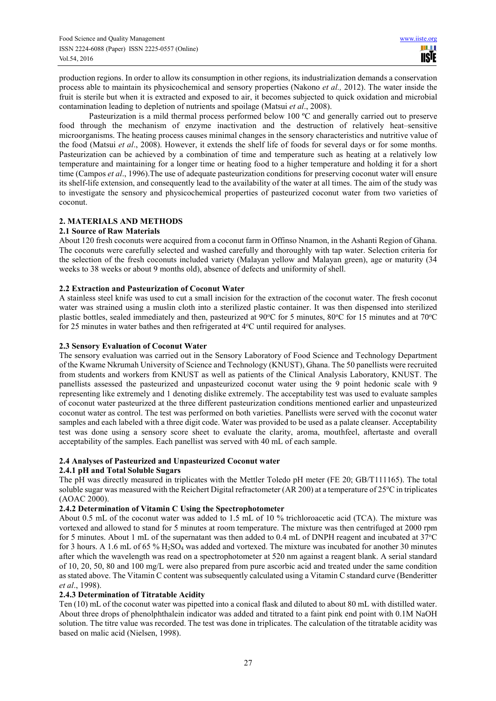production regions. In order to allow its consumption in other regions, its industrialization demands a conservation process able to maintain its physicochemical and sensory properties (Nakono *et al.,* 2012). The water inside the fruit is sterile but when it is extracted and exposed to air, it becomes subjected to quick oxidation and microbial contamination leading to depletion of nutrients and spoilage (Matsui *et al*., 2008).

Pasteurization is a mild thermal process performed below 100 °C and generally carried out to preserve food through the mechanism of enzyme inactivation and the destruction of relatively heat–sensitive microorganisms. The heating process causes minimal changes in the sensory characteristics and nutritive value of the food (Matsui *et al*., 2008). However, it extends the shelf life of foods for several days or for some months. Pasteurization can be achieved by a combination of time and temperature such as heating at a relatively low temperature and maintaining for a longer time or heating food to a higher temperature and holding it for a short time (Campos *et al*., 1996).The use of adequate pasteurization conditions for preserving coconut water will ensure its shelf-life extension, and consequently lead to the availability of the water at all times. The aim of the study was to investigate the sensory and physicochemical properties of pasteurized coconut water from two varieties of coconut.

# **2. MATERIALS AND METHODS**

# **2.1 Source of Raw Materials**

About 120 fresh coconuts were acquired from a coconut farm in Offinso Nnamon, in the Ashanti Region of Ghana. The coconuts were carefully selected and washed carefully and thoroughly with tap water. Selection criteria for the selection of the fresh coconuts included variety (Malayan yellow and Malayan green), age or maturity (34 weeks to 38 weeks or about 9 months old), absence of defects and uniformity of shell.

# **2.2 Extraction and Pasteurization of Coconut Water**

A stainless steel knife was used to cut a small incision for the extraction of the coconut water. The fresh coconut water was strained using a muslin cloth into a sterilized plastic container. It was then dispensed into sterilized plastic bottles, sealed immediately and then, pasteurized at 90 $\degree$ C for 5 minutes, 80 $\degree$ C for 15 minutes and at 70 $\degree$ C for 25 minutes in water bathes and then refrigerated at 4<sup>o</sup>C until required for analyses.

#### **2.3 Sensory Evaluation of Coconut Water**

The sensory evaluation was carried out in the Sensory Laboratory of Food Science and Technology Department of the Kwame Nkrumah University of Science and Technology (KNUST), Ghana. The 50 panellists were recruited from students and workers from KNUST as well as patients of the Clinical Analysis Laboratory, KNUST. The panellists assessed the pasteurized and unpasteurized coconut water using the 9 point hedonic scale with 9 representing like extremely and 1 denoting dislike extremely. The acceptability test was used to evaluate samples of coconut water pasteurized at the three different pasteurization conditions mentioned earlier and unpasteurized coconut water as control. The test was performed on both varieties. Panellists were served with the coconut water samples and each labeled with a three digit code. Water was provided to be used as a palate cleanser. Acceptability test was done using a sensory score sheet to evaluate the clarity, aroma, mouthfeel, aftertaste and overall acceptability of the samples. Each panellist was served with 40 mL of each sample.

# **2.4 Analyses of Pasteurized and Unpasteurized Coconut water**

# **2.4.1 pH and Total Soluble Sugars**

The pH was directly measured in triplicates with the Mettler Toledo pH meter (FE 20; GB/T111165). The total soluble sugar was measured with the Reichert Digital refractometer (AR 200) at a temperature of  $25^{\circ}$ C in triplicates (AOAC 2000).

#### **2.4.2 Determination of Vitamin C Using the Spectrophotometer**

About 0.5 mL of the coconut water was added to 1.5 mL of 10 % trichloroacetic acid (TCA). The mixture was vortexed and allowed to stand for 5 minutes at room temperature. The mixture was then centrifuged at 2000 rpm for 5 minutes. About 1 mL of the supernatant was then added to 0.4 mL of DNPH reagent and incubated at  $37^{\circ}$ C for 3 hours. A 1.6 mL of 65 % H2SO4 was added and vortexed. The mixture was incubated for another 30 minutes after which the wavelength was read on a spectrophotometer at 520 nm against a reagent blank. A serial standard of 10, 20, 50, 80 and 100 mg/L were also prepared from pure ascorbic acid and treated under the same condition as stated above. The Vitamin C content was subsequently calculated using a Vitamin C standard curve (Benderitter *et al*., 1998).

#### **2.4.3 Determination of Titratable Acidity**

Ten (10) mL of the coconut water was pipetted into a conical flask and diluted to about 80 mL with distilled water. About three drops of phenolphthalein indicator was added and titrated to a faint pink end point with 0.1M NaOH solution. The titre value was recorded. The test was done in triplicates. The calculation of the titratable acidity was based on malic acid (Nielsen, 1998).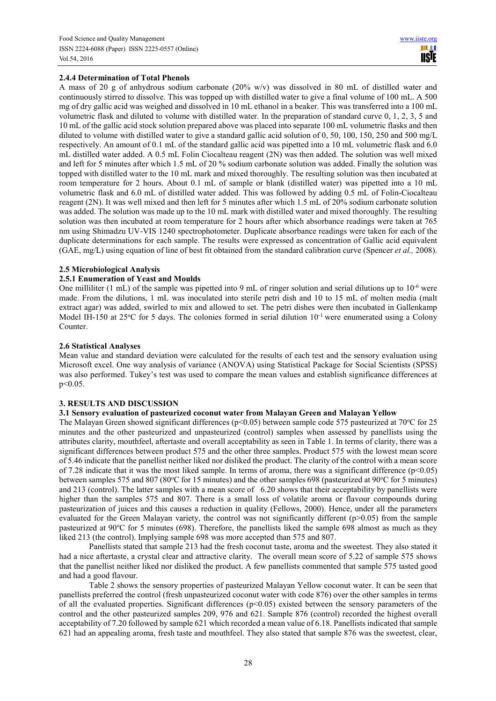# **2.4.4 Determination of Total Phenols**

A mass of 20 g of anhydrous sodium carbonate (20% w/v) was dissolved in 80 mL of distilled water and continuously stirred to dissolve. This was topped up with distilled water to give a final volume of 100 mL. A 500 mg of dry gallic acid was weighed and dissolved in 10 mL ethanol in a beaker. This was transferred into a 100 mL volumetric flask and diluted to volume with distilled water. In the preparation of standard curve 0, 1, 2, 3, 5 and 10 mL of the gallic acid stock solution prepared above was placed into separate 100 mL volumetric flasks and then diluted to volume with distilled water to give a standard gallic acid solution of 0, 50, 100, 150, 250 and 500 mg/L respectively. An amount of 0.1 mL of the standard gallic acid was pipetted into a 10 mL volumetric flask and 6.0 mL distilled water added. A 0.5 mL Folin Ciocalteau reagent (2N) was then added. The solution was well mixed and left for 5 minutes after which 1.5 mL of 20 % sodium carbonate solution was added. Finally the solution was topped with distilled water to the 10 mL mark and mixed thoroughly. The resulting solution was then incubated at room temperature for 2 hours. About 0.1 mL of sample or blank (distilled water) was pipetted into a 10 mL volumetric flask and 6.0 mL of distilled water added. This was followed by adding 0.5 mL of Folin-Ciocalteau reagent (2N). It was well mixed and then left for 5 minutes after which 1.5 mL of 20% sodium carbonate solution was added. The solution was made up to the 10 mL mark with distilled water and mixed thoroughly. The resulting solution was then incubated at room temperature for 2 hours after which absorbance readings were taken at 765 nm using Shimadzu UV-VIS 1240 spectrophotometer. Duplicate absorbance readings were taken for each of the duplicate determinations for each sample. The results were expressed as concentration of Gallic acid equivalent (GAE, mg/L) using equation of line of best fit obtained from the standard calibration curve (Spencer *et al.,* 2008).

# **2.5 Microbiological Analysis**

# **2.5.1 Enumeration of Yeast and Moulds**

One milliliter (1 mL) of the sample was pipetted into 9 mL of ringer solution and serial dilutions up to  $10^{-6}$  were made. From the dilutions, 1 mL was inoculated into sterile petri dish and 10 to 15 mL of molten media (malt extract agar) was added, swirled to mix and allowed to set. The petri dishes were then incubated in Gallenkamp Model IH-150 at 25 $\degree$ C for 5 days. The colonies formed in serial dilution 10<sup>-1</sup> were enumerated using a Colony Counter.

#### **2.6 Statistical Analyses**

Mean value and standard deviation were calculated for the results of each test and the sensory evaluation using Microsoft excel. One way analysis of variance (ANOVA) using Statistical Package for Social Scientists (SPSS) was also performed. Tukey's test was used to compare the mean values and establish significance differences at p<0.05.

# **3. RESULTS AND DISCUSSION**

#### **3.1 Sensory evaluation of pasteurized coconut water from Malayan Green and Malayan Yellow**

The Malayan Green showed significant differences ( $p<0.05$ ) between sample code 575 pasteurized at 70 $\degree$ C for 25 minutes and the other pasteurized and unpasteurized (control) samples when assessed by panellists using the attributes clarity, mouthfeel, aftertaste and overall acceptability as seen in Table 1. In terms of clarity, there was a significant differences between product 575 and the other three samples. Product 575 with the lowest mean score of 5.46 indicate that the panellist neither liked nor disliked the product. The clarity of the control with a mean score of 7.28 indicate that it was the most liked sample. In terms of aroma, there was a significant difference ( $p<0.05$ ) between samples 575 and 807 (80°C for 15 minutes) and the other samples 698 (pasteurized at 90°C for 5 minutes) and 213 (control). The latter samples with a mean score of 6.20 shows that their acceptability by panellists were higher than the samples 575 and 807. There is a small loss of volatile aroma or flavour compounds during pasteurization of juices and this causes a reduction in quality (Fellows, 2000). Hence, under all the parameters evaluated for the Green Malayan variety, the control was not significantly different (p>0.05) from the sample pasteurized at 90°C for 5 minutes (698). Therefore, the panellists liked the sample 698 almost as much as they liked 213 (the control). Implying sample 698 was more accepted than 575 and 807.

Panellists stated that sample 213 had the fresh coconut taste, aroma and the sweetest. They also stated it had a nice aftertaste, a crystal clear and attractive clarity. The overall mean score of 5.22 of sample 575 shows that the panellist neither liked nor disliked the product. A few panellists commented that sample 575 tasted good and had a good flavour.

Table 2 shows the sensory properties of pasteurized Malayan Yellow coconut water. It can be seen that panellists preferred the control (fresh unpasteurized coconut water with code 876) over the other samples in terms of all the evaluated properties. Significant differences  $(p<0.05)$  existed between the sensory parameters of the control and the other pasteurized samples 209, 976 and 621. Sample 876 (control) recorded the highest overall acceptability of 7.20 followed by sample 621 which recorded a mean value of 6.18. Panellists indicated that sample 621 had an appealing aroma, fresh taste and mouthfeel. They also stated that sample 876 was the sweetest, clear,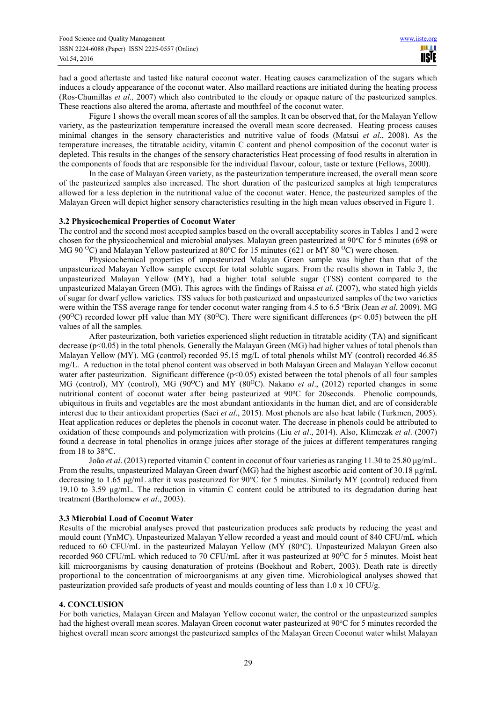had a good aftertaste and tasted like natural coconut water. Heating causes caramelization of the sugars which induces a cloudy appearance of the coconut water. Also maillard reactions are initiated during the heating process (Ros-Chumillas *et al.,* 2007) which also contributed to the cloudy or opaque nature of the pasteurized samples. These reactions also altered the aroma, aftertaste and mouthfeel of the coconut water.

Figure 1 shows the overall mean scores of all the samples. It can be observed that, for the Malayan Yellow variety, as the pasteurization temperature increased the overall mean score decreased. Heating process causes minimal changes in the sensory characteristics and nutritive value of foods (Matsui *et al*., 2008). As the temperature increases, the titratable acidity, vitamin C content and phenol composition of the coconut water is depleted. This results in the changes of the sensory characteristics Heat processing of food results in alteration in the components of foods that are responsible for the individual flavour, colour, taste or texture (Fellows, 2000).

In the case of Malayan Green variety, as the pasteurization temperature increased, the overall mean score of the pasteurized samples also increased. The short duration of the pasteurized samples at high temperatures allowed for a less depletion in the nutritional value of the coconut water. Hence, the pasteurized samples of the Malayan Green will depict higher sensory characteristics resulting in the high mean values observed in Figure 1.

#### **3.2 Physicochemical Properties of Coconut Water**

The control and the second most accepted samples based on the overall acceptability scores in Tables 1 and 2 were chosen for the physicochemical and microbial analyses. Malayan green pasteurized at 90°C for 5 minutes (698 or MG 90 <sup>o</sup>C) and Malayan Yellow pasteurized at 80 <sup>o</sup>C for 15 minutes (621 or MY 80 <sup>o</sup>C) were chosen.

Physicochemical properties of unpasteurized Malayan Green sample was higher than that of the unpasteurized Malayan Yellow sample except for total soluble sugars. From the results shown in Table 3, the unpasteurized Malayan Yellow (MY), had a higher total soluble sugar (TSS) content compared to the unpasteurized Malayan Green (MG). This agrees with the findings of Raissa *et al*. (2007), who stated high yields of sugar for dwarf yellow varieties. TSS values for both pasteurized and unpasteurized samples of the two varieties were within the TSS average range for tender coconut water ranging from 4.5 to 6.5 °Brix (Jean *et al.* 2009). MG (90<sup>o</sup>C) recorded lower pH value than MY (80<sup>o</sup>C). There were significant differences (p < 0.05) between the pH values of all the samples.

After pasteurization, both varieties experienced slight reduction in titratable acidity (TA) and significant decrease (p<0.05) in the total phenols. Generally the Malayan Green (MG) had higher values of total phenols than Malayan Yellow (MY). MG (control) recorded 95.15 mg/L of total phenols whilst MY (control) recorded 46.85 mg/L. A reduction in the total phenol content was observed in both Malayan Green and Malayan Yellow coconut water after pasteurization. Significant difference (p<0.05) existed between the total phenols of all four samples MG (control), MY (control), MG (90<sup>o</sup>C) and MY (80<sup>o</sup>C). Nakano *et al.*, (2012) reported changes in some nutritional content of coconut water after being pasteurized at 90°C for 20seconds. Phenolic compounds, ubiquitous in fruits and vegetables are the most abundant antioxidants in the human diet, and are of considerable interest due to their antioxidant properties (Saci *et al*., 2015). Most phenols are also heat labile (Turkmen, 2005). Heat application reduces or depletes the phenols in coconut water. The decrease in phenols could be attributed to oxidation of these compounds and polymerization with proteins (Liu *et al*., 2014). Also, Klimczak *et al*. (2007) found a decrease in total phenolics in orange juices after storage of the juices at different temperatures ranging from 18 to 38°C.

João *et al.* (2013) reported vitamin C content in coconut of four varieties as ranging 11.30 to 25.80 ug/mL. From the results, unpasteurized Malayan Green dwarf (MG) had the highest ascorbic acid content of 30.18 µg/mL decreasing to 1.65 µg/mL after it was pasteurized for 90°C for 5 minutes. Similarly MY (control) reduced from 19.10 to 3.59  $\mu$ g/mL. The reduction in vitamin C content could be attributed to its degradation during heat treatment (Bartholomew *et al*., 2003).

# **3.3 Microbial Load of Coconut Water**

Results of the microbial analyses proved that pasteurization produces safe products by reducing the yeast and mould count (YnMC). Unpasteurized Malayan Yellow recorded a yeast and mould count of 840 CFU/mL which reduced to 60 CFU/mL in the pasteurized Malayan Yellow (MY (80°C). Unpasteurized Malayan Green also recorded 960 CFU/mL which reduced to 70 CFU/mL after it was pasteurized at 90 $\rm{^{\circ}C}$  for 5 minutes. Moist heat kill microorganisms by causing denaturation of proteins (Boekhout and Robert, 2003). Death rate is directly proportional to the concentration of microorganisms at any given time. Microbiological analyses showed that pasteurization provided safe products of yeast and moulds counting of less than 1.0 x 10 CFU/g.

# **4. CONCLUSION**

For both varieties, Malayan Green and Malayan Yellow coconut water, the control or the unpasteurized samples had the highest overall mean scores. Malayan Green coconut water pasteurized at 90°C for 5 minutes recorded the highest overall mean score amongst the pasteurized samples of the Malayan Green Coconut water whilst Malayan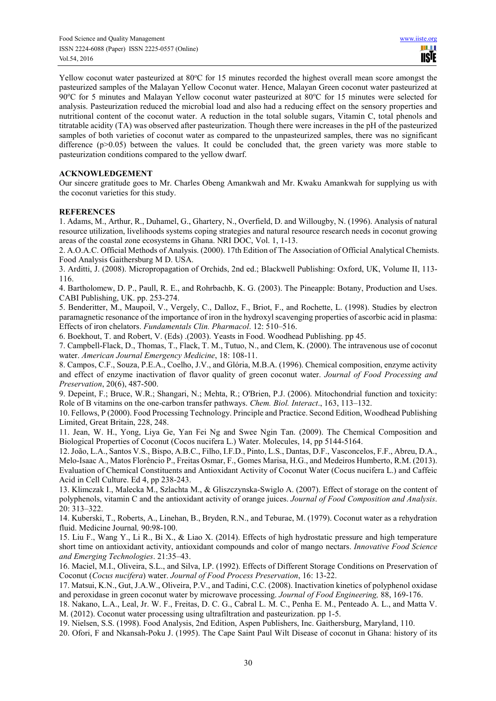Yellow coconut water pasteurized at 80°C for 15 minutes recorded the highest overall mean score amongst the pasteurized samples of the Malayan Yellow Coconut water. Hence, Malayan Green coconut water pasteurized at 90 $^{\circ}$ C for 5 minutes and Malayan Yellow coconut water pasteurized at 80 $^{\circ}$ C for 15 minutes were selected for analysis. Pasteurization reduced the microbial load and also had a reducing effect on the sensory properties and nutritional content of the coconut water. A reduction in the total soluble sugars, Vitamin C, total phenols and titratable acidity (TA) was observed after pasteurization. Though there were increases in the pH of the pasteurized samples of both varieties of coconut water as compared to the unpasteurized samples, there was no significant difference  $(p>0.05)$  between the values. It could be concluded that, the green variety was more stable to pasteurization conditions compared to the yellow dwarf.

# **ACKNOWLEDGEMENT**

Our sincere gratitude goes to Mr. Charles Obeng Amankwah and Mr. Kwaku Amankwah for supplying us with the coconut varieties for this study.

# **REFERENCES**

1. Adams, M., Arthur, R., Duhamel, G., Ghartery, N., Overfield, D. and Willougby, N. (1996). Analysis of natural resource utilization, livelihoods systems coping strategies and natural resource research needs in coconut growing areas of the coastal zone ecosystems in Ghana. NRI DOC, Vol. 1, 1-13.

2. A.O.A.C. Official Methods of Analysis. (2000). 17th Edition of The Association of Official Analytical Chemists. Food Analysis Gaithersburg M D. USA.

3. Arditti, J. (2008). Micropropagation of Orchids, 2nd ed.; Blackwell Publishing: Oxford, UK, Volume II, 113- 116.

4. Bartholomew, D. P., Paull, R. E., and Rohrbachb, K. G. (2003). The Pineapple: Botany, Production and Uses. CABI Publishing, UK. pp. 253-274.

5. Benderitter, M., Maupoil, V., Vergely, C., Dalloz, F., Briot, F., and Rochette, L. (1998). Studies by electron paramagnetic resonance of the importance of iron in the hydroxyl scavenging properties of ascorbic acid in plasma: Effects of iron chelators. *Fundamentals Clin. Pharmacol*. 12: 510–516.

6. Boekhout, T. and Robert, V. (Eds) .(2003). Yeasts in Food. Woodhead Publishing. pp 45.

7. Campbell-Flack, D., Thomas, T., Flack, T. M., Tutuo, N., and Clem, K. (2000). The intravenous use of coconut water. *American Journal Emergency Medicine*, 18: 108-11.

8. Campos, C.F., Souza, P.E.A., Coelho, J.V., and Glória, M.B.A. (1996). Chemical composition, enzyme activity and effect of enzyme inactivation of flavor quality of green coconut water. *Journal of Food Processing and Preservation*, 20(6), 487-500.

9. Depeint, F.; Bruce, W.R.; Shangari, N.; Mehta, R.; O'Brien, P.J. (2006). Mitochondrial function and toxicity: Role of B vitamins on the one-carbon transfer pathways. *Chem. Biol. Interact*., 163, 113–132.

10. Fellows, P (2000). Food Processing Technology. Principle and Practice. Second Edition, Woodhead Publishing Limited, Great Britain, 228, 248.

11. Jean, W. H., Yong, Liya Ge, Yan Fei Ng and Swee Ngin Tan. (2009). The Chemical Composition and Biological Properties of Coconut (Cocos nucifera L.) Water. Molecules, 14, pp 5144-5164.

12. João, L.A., Santos V.S., Bispo, A.B.C., Filho, I.F.D., Pinto, L.S., Dantas, D.F., Vasconcelos, F.F., Abreu, D.A., Melo-Isaac A., Matos Florêncio P., Freitas Osmar, F., Gomes Marisa, H.G., and Medeiros Humberto, R.M. (2013). Evaluation of Chemical Constituents and Antioxidant Activity of Coconut Water (Cocus nucifera L.) and Caffeic Acid in Cell Culture. Ed 4, pp 238-243.

13. Klimczak I., Malecka M., Szlachta M., & Gliszczynska-Swiglo A. (2007). Effect of storage on the content of polyphenols, vitamin C and the antioxidant activity of orange juices. *Journal of Food Composition and Analysis*. 20: 313–322.

14. Kuberski, T., Roberts, A., Linehan, B., Bryden, R.N., and Teburae, M. (1979). Coconut water as a rehydration fluid. Medicine Journal*,* 90:98-100.

15. Liu F., Wang Y., Li R., Bi X., & Liao X. (2014). Effects of high hydrostatic pressure and high temperature short time on antioxidant activity, antioxidant compounds and color of mango nectars. *Innovative Food Science and Emerging Technologies*. 21:35–43.

16. Maciel, M.I., Oliveira, S.L., and Silva, I.P. (1992). Effects of Different Storage Conditions on Preservation of Coconut (*Cocus nucifera*) water. *Journal of Food Process Preservation*, 16: 13-22.

17. Matsui, K.N., Gut, J.A.W., Oliveira, P.V., and Tadini, C.C. (2008). Inactivation kinetics of polyphenol oxidase and peroxidase in green coconut water by microwave processing. *Journal of Food Engineering,* 88, 169-176.

18. Nakano, L.A., Leal, Jr. W. F., Freitas, D. C. G., Cabral L. M. C., Penha E. M., Penteado A. L., and Matta V. M. (2012). Coconut water processing using ultrafiltration and pasteurization. pp 1-5.

19. Nielsen, S.S. (1998). Food Analysis, 2nd Edition, Aspen Publishers, Inc. Gaithersburg, Maryland, 110.

20. Ofori, F and Nkansah-Poku J. (1995). The Cape Saint Paul Wilt Disease of coconut in Ghana: history of its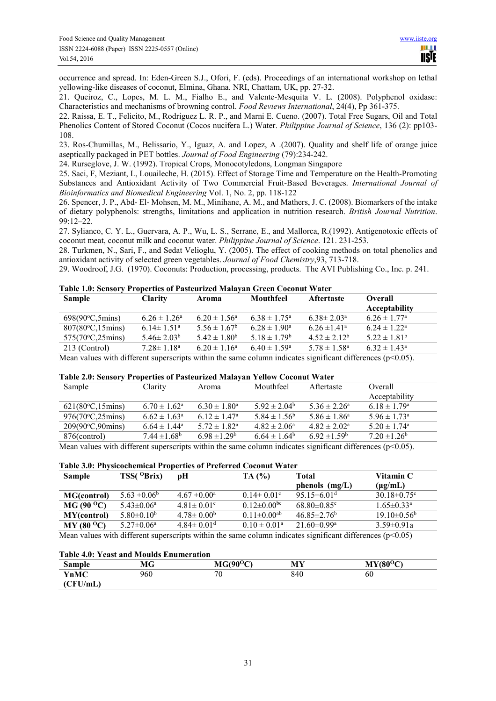occurrence and spread. In: Eden-Green S.J., Ofori, F. (eds). Proceedings of an international workshop on lethal yellowing-like diseases of coconut, Elmina, Ghana. NRI, Chattam, UK, pp. 27-32.

21. Queiroz, C., Lopes, M. L. M., Fialho E., and Valente-Mesquita V. L. (2008). Polyphenol oxidase: Characteristics and mechanisms of browning control. *Food Reviews International*, 24(4), Pp 361-375.

22. Raissa, E. T., Felicito, M., Rodriguez L. R. P., and Marni E. Cueno. (2007). Total Free Sugars, Oil and Total Phenolics Content of Stored Coconut (Cocos nucifera L.) Water. *Philippine Journal of Science*, 136 (2): pp103- 108.

23. Ros-Chumillas, M., Belissario, Y., Iguaz, A. and Lopez, A .(2007). Quality and shelf life of orange juice aseptically packaged in PET bottles. *Journal of Food Engineering* (79):234-242.

24. Rurseglove, J. W. (1992). Tropical Crops, Monocotyledons, Longman Singapore

25. Saci, F, Meziant, L, Louaileche, H. (2015). Effect of Storage Time and Temperature on the Health-Promoting Substances and Antioxidant Activity of Two Commercial Fruit-Based Beverages. *International Journal of Bioinformatics and Biomedical Engineering* Vol. 1, No. 2, pp. 118-122

26. Spencer, J. P., Abd- El- Mohsen, M. M., Minihane, A. M., and Mathers, J. C. (2008). Biomarkers of the intake of dietary polyphenols: strengths, limitations and application in nutrition research. *British Journal Nutrition*. 99:12–22.

27. Sylianco, C. Y. L., Guervara, A. P., Wu, L. S., Serrane, E., and Mallorca, R.(1992). Antigenotoxic effects of coconut meat, coconut milk and coconut water. *Philippine Journal of Science*. 121. 231-253.

28. Turkmen, N., Sari, F., and Sedat Velioglu, Y. (2005). The effect of cooking methods on total phenolics and antioxidant activity of selected green vegetables. *Journal of Food Chemistry*,93, 713-718.

29. Woodroof, J.G. (1970). Coconuts: Production, processing, products. The AVI Publishing Co., Inc. p. 241.

|  |  |  | Table 1.0: Sensory Properties of Pasteurized Malayan Green Coconut Water |
|--|--|--|--------------------------------------------------------------------------|
|--|--|--|--------------------------------------------------------------------------|

| <b>Sample</b>                      | <b>Clarity</b>          | Aroma             | Mouthfeel               | <b>Aftertaste</b> | Overall<br>Acceptability     |
|------------------------------------|-------------------------|-------------------|-------------------------|-------------------|------------------------------|
| $698(90^{\circ}C, 5 \text{mins})$  | $6.26 \pm 1.26^a$       | $6.20 \pm 1.56^a$ | $6.38 \pm 1.75^{\circ}$ | $6.38 \pm 2.03^a$ | $6.26 \pm 1.77^{\circ}$      |
| $807(80^{\circ}C, 15 \text{mins})$ | $6.14 \pm 1.51^{\circ}$ | $5.56 \pm 1.67^b$ | $6.28 \pm 1.90^a$       | $6.26 \pm 1.41^a$ | $6.24 \pm 1.22$ <sup>a</sup> |
| $575(70^{\circ}C, 25 \text{mins})$ | $5.46 \pm 2.03^b$       | $5.42 \pm 1.80^b$ | $5.18 \pm 1.79^b$       | $4.52 \pm 2.12^b$ | $5.22 \pm 1.81^b$            |
| 213 (Control)                      | $7.28 \pm 1.18^a$       | $6.20 \pm 1.16^a$ | $6.40 \pm 1.59^{\circ}$ | $5.78 \pm 1.58^a$ | $6.32 \pm 1.43^a$            |

Mean values with different superscripts within the same column indicates significant differences ( $p<0.05$ ).

#### **Table 2.0: Sensory Properties of Pasteurized Malayan Yellow Coconut Water**

| Sample             | Clarity                    | Aroma                   | Mouthfeel               | Aftertaste                   | Overall                      |
|--------------------|----------------------------|-------------------------|-------------------------|------------------------------|------------------------------|
|                    |                            |                         |                         |                              | Acceptability                |
| 621(80°C, 15 mins) | $6.70 \pm 1.62^{\text{a}}$ | $6.30 \pm 1.80^a$       | $5.92 \pm 2.04^{\circ}$ | $5.36 \pm 2.26^a$            | $6.18 \pm 1.79^{\circ}$      |
| 976(70°C, 25 mins) | $6.62 \pm 1.63^{\circ}$    | $6.12 \pm 1.47^{\circ}$ | $5.84 \pm 1.56^b$       | $5.86 \pm 1.86^a$            | $5.96 \pm 1.73$ <sup>a</sup> |
| 209(90°C,90mins)   | $6.64 \pm 1.44^a$          | $5.72 \pm 1.82^a$       | $4.82 \pm 2.06^a$       | $4.82 \pm 2.02^{\circ}$      | $5.20 \pm 1.74$ <sup>a</sup> |
| 876(control)       | $7.44 \pm 1.68^b$          | $6.98 \pm 1.29^b$       | $6.64 \pm 1.64^b$       | 6.92 $\pm$ 1.59 <sup>b</sup> | $7.20 \pm 1.26^b$            |

Mean values with different superscripts within the same column indicates significant differences ( $p<0.05$ ).

#### **Table 3.0: Physicochemical Properties of Preferred Coconut Water**

| <b>Sample</b>       | $TSS(^0Brix)$                | pH                           | TA (%)               | Total                         | Vitamin C                    |
|---------------------|------------------------------|------------------------------|----------------------|-------------------------------|------------------------------|
|                     |                              |                              |                      | phenols $(mg/L)$              | $(\mu g/mL)$                 |
| <b>MG(control)</b>  | $5.63 \pm 0.06^b$            | $4.67 \pm 0.00^a$            | $0.14 \pm 0.01$ °    | 95.15 $\pm$ 6.01 <sup>d</sup> | $30.18 \pm 0.75$ °           |
| $MG (90 ^{0}C)$     | $5.43 \pm 0.06^a$            | $4.81 \pm 0.01$ °            | $0.12 \pm 0.00^{bc}$ | $68.80\pm0.85^{\circ}$        | $1.65 \pm 0.33$ <sup>a</sup> |
| <b>MY</b> (control) | 5.80 $\pm$ 0.10 <sup>b</sup> | $4.78 \pm 0.00^b$            | $0.11 \pm 0.00^{ab}$ | $46.85 \pm 2.76^b$            | $19.10\pm0.56^{\circ}$       |
| $MY(80^{\circ}C)$   | $5.27 \pm 0.06^a$            | $4.84 \pm 0.01$ <sup>d</sup> | $0.10 \pm 0.01^a$    | 21.60 $\pm$ 0.99 <sup>a</sup> | $3.59 \pm 0.91a$             |
|                     | $\sim$ $\sim$<br>.           |                              |                      | $\cdots$                      | .                            |

Mean values with different superscripts within the same column indicates significant differences ( $p<0.05$ )

#### **Table 4.0: Yeast and Moulds Enumeration**

| Sample      | МG  | $MG(90^{\circ}C)$ | <b>MY</b> | $MY(80^{\circ}C)$ |
|-------------|-----|-------------------|-----------|-------------------|
| <b>YnMC</b> | 960 | $\pi$<br>v        | 840       | 60                |
| (CFU/mL)    |     |                   |           |                   |